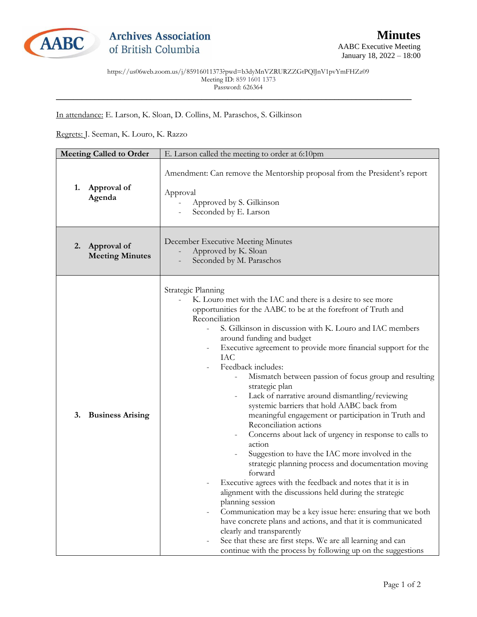

https://us06web.zoom.us/j/85916011373?pwd=b3dyMnVZRURZZGtPQlJnV1pvYmFHZz09 Meeting ID: 859 1601 1373 Password: 626364

\_\_\_\_\_\_\_\_\_\_\_\_\_\_\_\_\_\_\_\_\_\_\_\_\_\_\_\_\_\_\_\_\_\_\_\_\_\_\_\_\_\_\_\_\_\_\_\_\_\_\_\_\_\_\_\_\_\_\_\_\_\_\_\_\_\_\_\_\_\_\_\_\_\_\_\_\_\_\_\_\_\_\_

## In attendance: E. Larson, K. Sloan, D. Collins, M. Paraschos, S. Gilkinson

## Regrets: J. Seeman, K. Louro, K. Razzo

| <b>Meeting Called to Order</b> |                                       | E. Larson called the meeting to order at 6:10pm                                                                                                                                                                                                                                                                                                                                                                                                                                                                                                                                                                                                                                                                                                                                                                                                                                                                                                                                                                                                                                                                                                                                                                                                                                                                            |
|--------------------------------|---------------------------------------|----------------------------------------------------------------------------------------------------------------------------------------------------------------------------------------------------------------------------------------------------------------------------------------------------------------------------------------------------------------------------------------------------------------------------------------------------------------------------------------------------------------------------------------------------------------------------------------------------------------------------------------------------------------------------------------------------------------------------------------------------------------------------------------------------------------------------------------------------------------------------------------------------------------------------------------------------------------------------------------------------------------------------------------------------------------------------------------------------------------------------------------------------------------------------------------------------------------------------------------------------------------------------------------------------------------------------|
| 1.                             | Approval of<br>Agenda                 | Amendment: Can remove the Mentorship proposal from the President's report<br>Approval<br>Approved by S. Gilkinson<br>Seconded by E. Larson                                                                                                                                                                                                                                                                                                                                                                                                                                                                                                                                                                                                                                                                                                                                                                                                                                                                                                                                                                                                                                                                                                                                                                                 |
| <sup>2.</sup>                  | Approval of<br><b>Meeting Minutes</b> | December Executive Meeting Minutes<br>Approved by K. Sloan<br>Seconded by M. Paraschos                                                                                                                                                                                                                                                                                                                                                                                                                                                                                                                                                                                                                                                                                                                                                                                                                                                                                                                                                                                                                                                                                                                                                                                                                                     |
| 3.                             | <b>Business Arising</b>               | Strategic Planning<br>K. Louro met with the IAC and there is a desire to see more<br>opportunities for the AABC to be at the forefront of Truth and<br>Reconciliation<br>S. Gilkinson in discussion with K. Louro and IAC members<br>around funding and budget<br>Executive agreement to provide more financial support for the<br><b>IAC</b><br>Feedback includes:<br>Mismatch between passion of focus group and resulting<br>strategic plan<br>Lack of narrative around dismantling/reviewing<br>$\overline{\phantom{a}}$<br>systemic barriers that hold AABC back from<br>meaningful engagement or participation in Truth and<br>Reconciliation actions<br>Concerns about lack of urgency in response to calls to<br>$\overline{\phantom{a}}$<br>action<br>Suggestion to have the IAC more involved in the<br>strategic planning process and documentation moving<br>forward<br>Executive agrees with the feedback and notes that it is in<br>alignment with the discussions held during the strategic<br>planning session<br>Communication may be a key issue here: ensuring that we both<br>have concrete plans and actions, and that it is communicated<br>clearly and transparently<br>See that these are first steps. We are all learning and can<br>continue with the process by following up on the suggestions |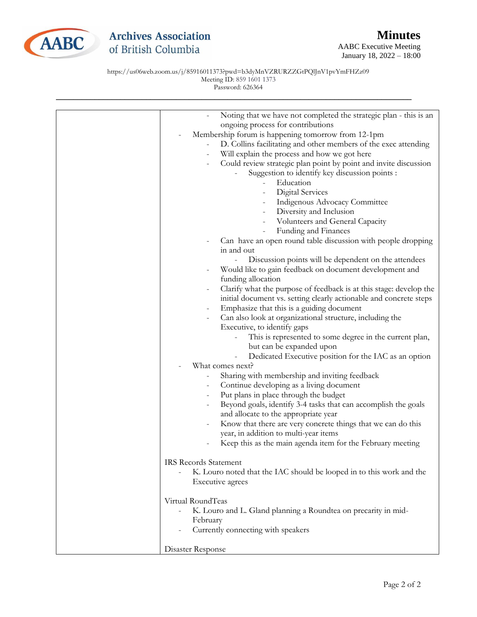

## **Archives Association** of British Columbia

AABC Executive Meeting January 18, 2022 – 18:00

https://us06web.zoom.us/j/85916011373?pwd=b3dyMnVZRURZZGtPQlJnV1pvYmFHZz09 Meeting ID: 859 1601 1373 Password: 626364

| Noting that we have not completed the strategic plan - this is an                            |
|----------------------------------------------------------------------------------------------|
| ongoing process for contributions                                                            |
| Membership forum is happening tomorrow from 12-1pm                                           |
| D. Collins facilitating and other members of the exec attending                              |
| Will explain the process and how we got here                                                 |
| Could review strategic plan point by point and invite discussion<br>$\overline{\phantom{a}}$ |
| Suggestion to identify key discussion points :                                               |
| Education                                                                                    |
| Digital Services                                                                             |
| Indigenous Advocacy Committee                                                                |
| Diversity and Inclusion                                                                      |
| Volunteers and General Capacity                                                              |
| Funding and Finances                                                                         |
| Can have an open round table discussion with people dropping                                 |
| in and out                                                                                   |
| Discussion points will be dependent on the attendees                                         |
| Would like to gain feedback on document development and                                      |
| funding allocation                                                                           |
| Clarify what the purpose of feedback is at this stage: develop the<br>$\qquad \qquad -$      |
| initial document vs. setting clearly actionable and concrete steps                           |
| Emphasize that this is a guiding document                                                    |
| Can also look at organizational structure, including the<br>$\overline{\phantom{a}}$         |
| Executive, to identify gaps                                                                  |
| This is represented to some degree in the current plan,                                      |
| but can be expanded upon                                                                     |
| Dedicated Executive position for the IAC as an option<br>$\overline{a}$                      |
| What comes next?                                                                             |
| Sharing with membership and inviting feedback                                                |
| Continue developing as a living document                                                     |
| Put plans in place through the budget<br>$\overline{\phantom{a}}$                            |
| Beyond goals, identify 3-4 tasks that can accomplish the goals<br>$\overline{\phantom{a}}$   |
| and allocate to the appropriate year                                                         |
| Know that there are very concrete things that we can do this                                 |
| year, in addition to multi-year items                                                        |
| Keep this as the main agenda item for the February meeting                                   |
| <b>IRS Records Statement</b>                                                                 |
| K. Louro noted that the IAC should be looped in to this work and the                         |
| Executive agrees                                                                             |
|                                                                                              |
| Virtual RoundTeas                                                                            |
| K. Louro and L. Gland planning a Roundtea on precarity in mid-                               |
| February                                                                                     |
| Currently connecting with speakers                                                           |
|                                                                                              |
| Disaster Response                                                                            |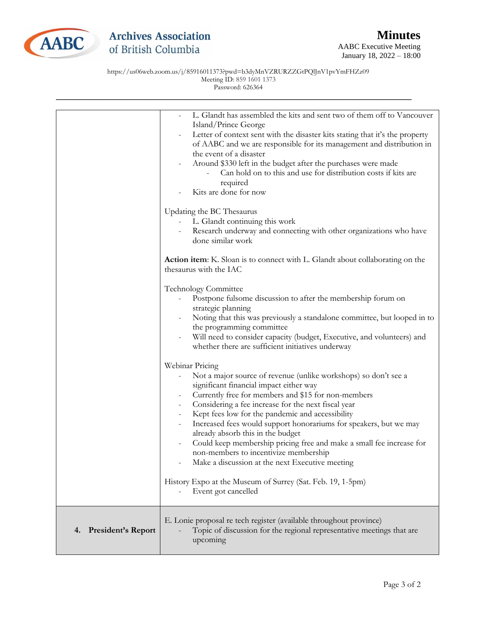

January 18, 2022 – 18:00

https://us06web.zoom.us/j/85916011373?pwd=b3dyMnVZRURZZGtPQlJnV1pvYmFHZz09 Meeting ID: 859 1601 1373

|                          | L. Glandt has assembled the kits and sent two of them off to Vancouver<br>Island/Prince George<br>Letter of context sent with the disaster kits stating that it's the property<br>of AABC and we are responsible for its management and distribution in<br>the event of a disaster<br>Around \$330 left in the budget after the purchases were made<br>Can hold on to this and use for distribution costs if kits are<br>required<br>Kits are done for now<br>Updating the BC Thesaurus<br>L. Glandt continuing this work<br>Research underway and connecting with other organizations who have<br>done similar work |
|--------------------------|----------------------------------------------------------------------------------------------------------------------------------------------------------------------------------------------------------------------------------------------------------------------------------------------------------------------------------------------------------------------------------------------------------------------------------------------------------------------------------------------------------------------------------------------------------------------------------------------------------------------|
|                          | <b>Action item:</b> K. Sloan is to connect with L. Glandt about collaborating on the<br>thesaurus with the IAC                                                                                                                                                                                                                                                                                                                                                                                                                                                                                                       |
|                          | <b>Technology Committee</b><br>Postpone fulsome discussion to after the membership forum on<br>strategic planning<br>Noting that this was previously a standalone committee, but looped in to<br>the programming committee<br>Will need to consider capacity (budget, Executive, and volunteers) and<br>whether there are sufficient initiatives underway                                                                                                                                                                                                                                                            |
|                          | Webinar Pricing<br>Not a major source of revenue (unlike workshops) so don't see a<br>significant financial impact either way<br>Currently free for members and \$15 for non-members<br>Considering a fee increase for the next fiscal year<br>$\overline{\phantom{a}}$<br>Kept fees low for the pandemic and accessibility<br>Increased fees would support honorariums for speakers, but we may<br>already absorb this in the budget<br>Could keep membership pricing free and make a small fee increase for<br>non-members to incentivize membership<br>Make a discussion at the next Executive meeting            |
|                          | History Expo at the Museum of Surrey (Sat. Feb. 19, 1-5pm)<br>Event got cancelled                                                                                                                                                                                                                                                                                                                                                                                                                                                                                                                                    |
| President's Report<br>4. | E. Lonie proposal re tech register (available throughout province)<br>Topic of discussion for the regional representative meetings that are<br>upcoming                                                                                                                                                                                                                                                                                                                                                                                                                                                              |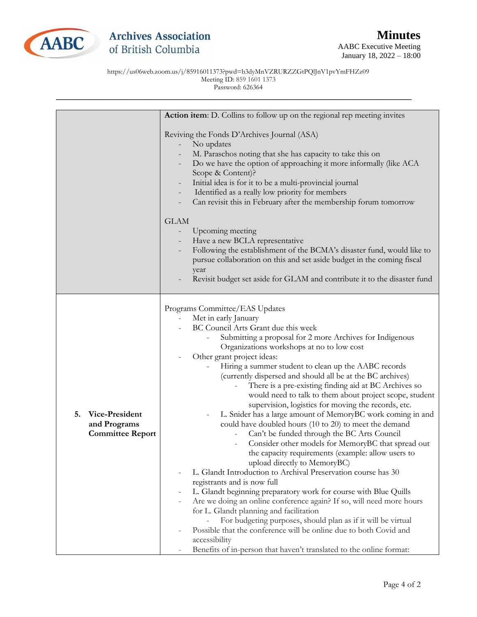

https://us06web.zoom.us/j/85916011373?pwd=b3dyMnVZRURZZGtPQlJnV1pvYmFHZz09 Meeting ID: 859 1601 1373 Password: 626364

|                                                                 | Action item: D. Collins to follow up on the regional rep meeting invites                                                                                                                                                                                                                                                                                                                                                                                                                                                                                                                                                                                                                                                                                                                                                                                                                                                                                                                                                                                                                                                                                                                                                                                                                                                                                                      |
|-----------------------------------------------------------------|-------------------------------------------------------------------------------------------------------------------------------------------------------------------------------------------------------------------------------------------------------------------------------------------------------------------------------------------------------------------------------------------------------------------------------------------------------------------------------------------------------------------------------------------------------------------------------------------------------------------------------------------------------------------------------------------------------------------------------------------------------------------------------------------------------------------------------------------------------------------------------------------------------------------------------------------------------------------------------------------------------------------------------------------------------------------------------------------------------------------------------------------------------------------------------------------------------------------------------------------------------------------------------------------------------------------------------------------------------------------------------|
|                                                                 | Reviving the Fonds D'Archives Journal (ASA)<br>No updates<br>M. Paraschos noting that she has capacity to take this on<br>Do we have the option of approaching it more informally (like ACA<br>Scope & Content)?<br>Initial idea is for it to be a multi-provincial journal<br>Identified as a really low priority for members<br>Can revisit this in February after the membership forum tomorrow                                                                                                                                                                                                                                                                                                                                                                                                                                                                                                                                                                                                                                                                                                                                                                                                                                                                                                                                                                            |
|                                                                 | <b>GLAM</b><br>Upcoming meeting<br>Have a new BCLA representative<br>Following the establishment of the BCMA's disaster fund, would like to<br>pursue collaboration on this and set aside budget in the coming fiscal<br>year<br>Revisit budget set aside for GLAM and contribute it to the disaster fund                                                                                                                                                                                                                                                                                                                                                                                                                                                                                                                                                                                                                                                                                                                                                                                                                                                                                                                                                                                                                                                                     |
| 5.<br>Vice-President<br>and Programs<br><b>Committee Report</b> | Programs Committee/EAS Updates<br>Met in early January<br>BC Council Arts Grant due this week<br>Submitting a proposal for 2 more Archives for Indigenous<br>Organizations workshops at no to low cost<br>Other grant project ideas:<br>Hiring a summer student to clean up the AABC records<br>(currently dispersed and should all be at the BC archives)<br>There is a pre-existing finding aid at BC Archives so<br>would need to talk to them about project scope, student<br>supervision, logistics for moving the records, etc.<br>L. Snider has a large amount of MemoryBC work coming in and<br>could have doubled hours (10 to 20) to meet the demand<br>Can't be funded through the BC Arts Council<br>Consider other models for MemoryBC that spread out<br>the capacity requirements (example: allow users to<br>upload directly to MemoryBC)<br>L. Glandt Introduction to Archival Preservation course has 30<br>registrants and is now full<br>L. Glandt beginning preparatory work for course with Blue Quills<br>Are we doing an online conference again? If so, will need more hours<br>for L. Glandt planning and facilitation<br>For budgeting purposes, should plan as if it will be virtual<br>Possible that the conference will be online due to both Covid and<br>accessibility<br>Benefits of in-person that haven't translated to the online format: |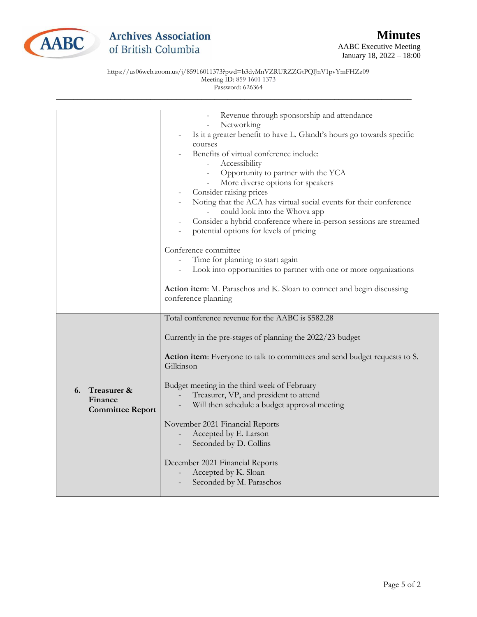

## **Archives Association** of British Columbia

https://us06web.zoom.us/j/85916011373?pwd=b3dyMnVZRURZZGtPQlJnV1pvYmFHZz09 Meeting ID: 859 1601 1373 Password: 626364

|                                                         | Revenue through sponsorship and attendance<br>Networking<br>Is it a greater benefit to have L. Glandt's hours go towards specific<br>courses<br>Benefits of virtual conference include:<br>Accessibility<br>Opportunity to partner with the YCA<br>More diverse options for speakers<br>Consider raising prices<br>Noting that the ACA has virtual social events for their conference<br>could look into the Whova app<br>Consider a hybrid conference where in-person sessions are streamed<br>potential options for levels of pricing<br>Conference committee<br>Time for planning to start again<br>Look into opportunities to partner with one or more organizations<br>Action item: M. Paraschos and K. Sloan to connect and begin discussing<br>conference planning |
|---------------------------------------------------------|---------------------------------------------------------------------------------------------------------------------------------------------------------------------------------------------------------------------------------------------------------------------------------------------------------------------------------------------------------------------------------------------------------------------------------------------------------------------------------------------------------------------------------------------------------------------------------------------------------------------------------------------------------------------------------------------------------------------------------------------------------------------------|
| Treasurer &<br>6.<br>Finance<br><b>Committee Report</b> | Total conference revenue for the AABC is \$582.28<br>Currently in the pre-stages of planning the 2022/23 budget<br><b>Action item:</b> Everyone to talk to committees and send budget requests to S.<br>Gilkinson<br>Budget meeting in the third week of February<br>Treasurer, VP, and president to attend<br>Will then schedule a budget approval meeting<br>November 2021 Financial Reports<br>Accepted by E. Larson<br>Seconded by D. Collins<br>December 2021 Financial Reports<br>Accepted by K. Sloan<br>Seconded by M. Paraschos                                                                                                                                                                                                                                  |